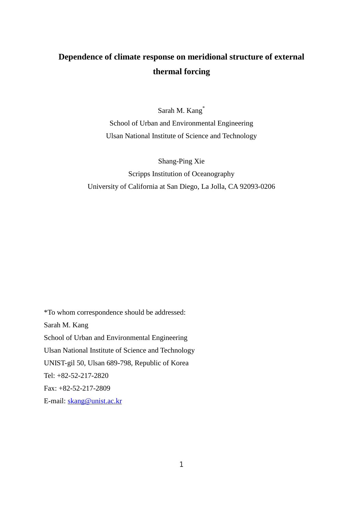# **Dependence of climate response on meridional structure of external thermal forcing**

Sarah M. Kang\* School of Urban and Environmental Engineering Ulsan National Institute of Science and Technology

Shang-Ping Xie Scripps Institution of Oceanography University of California at San Diego, La Jolla, CA 92093-0206

\*To whom correspondence should be addressed: Sarah M. Kang School of Urban and Environmental Engineering Ulsan National Institute of Science and Technology UNIST-gil 50, Ulsan 689-798, Republic of Korea Tel: +82-52-217-2820 Fax: +82-52-217-2809 E-mail: [skang@unist.ac.kr](mailto:skang@unist.ac.kr)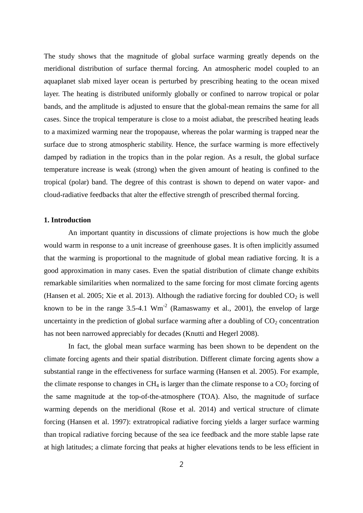The study shows that the magnitude of global surface warming greatly depends on the meridional distribution of surface thermal forcing. An atmospheric model coupled to an aquaplanet slab mixed layer ocean is perturbed by prescribing heating to the ocean mixed layer. The heating is distributed uniformly globally or confined to narrow tropical or polar bands, and the amplitude is adjusted to ensure that the global-mean remains the same for all cases. Since the tropical temperature is close to a moist adiabat, the prescribed heating leads to a maximized warming near the tropopause, whereas the polar warming is trapped near the surface due to strong atmospheric stability. Hence, the surface warming is more effectively damped by radiation in the tropics than in the polar region. As a result, the global surface temperature increase is weak (strong) when the given amount of heating is confined to the tropical (polar) band. The degree of this contrast is shown to depend on water vapor- and cloud-radiative feedbacks that alter the effective strength of prescribed thermal forcing.

### **1. Introduction**

An important quantity in discussions of climate projections is how much the globe would warm in response to a unit increase of greenhouse gases. It is often implicitly assumed that the warming is proportional to the magnitude of global mean radiative forcing. It is a good approximation in many cases. Even the spatial distribution of climate change exhibits remarkable similarities when normalized to the same forcing for most climate forcing agents (Hansen et al. 2005; Xie et al. 2013). Although the radiative forcing for doubled  $CO_2$  is well known to be in the range  $3.5$ -4.1  $\text{Wm}^2$  (Ramaswamy et al., 2001), the envelop of large uncertainty in the prediction of global surface warming after a doubling of  $CO<sub>2</sub>$  concentration has not been narrowed appreciably for decades (Knutti and Hegerl 2008).

In fact, the global mean surface warming has been shown to be dependent on the climate forcing agents and their spatial distribution. Different climate forcing agents show a substantial range in the effectiveness for surface warming (Hansen et al. 2005). For example, the climate response to changes in  $CH_4$  is larger than the climate response to a  $CO_2$  forcing of the same magnitude at the top-of-the-atmosphere (TOA). Also, the magnitude of surface warming depends on the meridional (Rose et al. 2014) and vertical structure of climate forcing (Hansen et al. 1997): extratropical radiative forcing yields a larger surface warming than tropical radiative forcing because of the sea ice feedback and the more stable lapse rate at high latitudes; a climate forcing that peaks at higher elevations tends to be less efficient in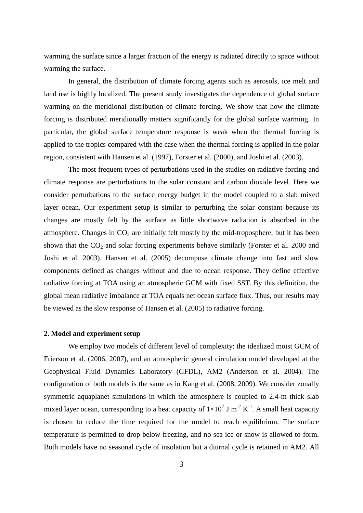warming the surface since a larger fraction of the energy is radiated directly to space without warming the surface.

In general, the distribution of climate forcing agents such as aerosols, ice melt and land use is highly localized. The present study investigates the dependence of global surface warming on the meridional distribution of climate forcing. We show that how the climate forcing is distributed meridionally matters significantly for the global surface warming. In particular, the global surface temperature response is weak when the thermal forcing is applied to the tropics compared with the case when the thermal forcing is applied in the polar region, consistent with Hansen et al. (1997), Forster et al. (2000), and Joshi et al. (2003).

The most frequent types of perturbations used in the studies on radiative forcing and climate response are perturbations to the solar constant and carbon dioxide level. Here we consider perturbations to the surface energy budget in the model coupled to a slab mixed layer ocean. Our experiment setup is similar to perturbing the solar constant because its changes are mostly felt by the surface as little shortwave radiation is absorbed in the atmosphere. Changes in  $CO<sub>2</sub>$  are initially felt mostly by the mid-troposphere, but it has been shown that the  $CO<sub>2</sub>$  and solar forcing experiments behave similarly (Forster et al. 2000 and Joshi et al. 2003). Hansen et al. (2005) decompose climate change into fast and slow components defined as changes without and due to ocean response. They define effective radiative forcing at TOA using an atmospheric GCM with fixed SST. By this definition, the global mean radiative imbalance at TOA equals net ocean surface flux. Thus, our results may be viewed as the slow response of Hansen et al. (2005) to radiative forcing.

## **2. Model and experiment setup**

We employ two models of different level of complexity: the idealized moist GCM of Frierson et al. (2006, 2007), and an atmospheric general circulation model developed at the Geophysical Fluid Dynamics Laboratory (GFDL), AM2 (Anderson et al. 2004). The configuration of both models is the same as in Kang et al. (2008, 2009). We consider zonally symmetric aquaplanet simulations in which the atmosphere is coupled to 2.4-m thick slab mixed layer ocean, corresponding to a heat capacity of  $1 \times 10^7$  J m<sup>-2</sup> K<sup>-1</sup>. A small heat capacity is chosen to reduce the time required for the model to reach equilibrium. The surface temperature is permitted to drop below freezing, and no sea ice or snow is allowed to form. Both models have no seasonal cycle of insolation but a diurnal cycle is retained in AM2. All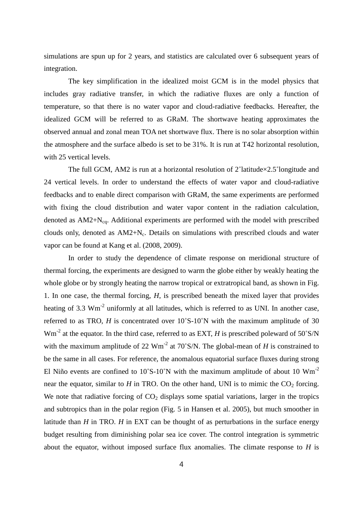simulations are spun up for 2 years, and statistics are calculated over 6 subsequent years of integration.

The key simplification in the idealized moist GCM is in the model physics that includes gray radiative transfer, in which the radiative fluxes are only a function of temperature, so that there is no water vapor and cloud-radiative feedbacks. Hereafter, the idealized GCM will be referred to as GRaM. The shortwave heating approximates the observed annual and zonal mean TOA net shortwave flux. There is no solar absorption within the atmosphere and the surface albedo is set to be 31%. It is run at T42 horizontal resolution, with 25 vertical levels.

The full GCM, AM2 is run at a horizontal resolution of 2˚latitude×2.5˚longitude and 24 vertical levels. In order to understand the effects of water vapor and cloud-radiative feedbacks and to enable direct comparison with GRaM, the same experiments are performed with fixing the cloud distribution and water vapor content in the radiation calculation, denoted as  $AM2+N_{cq}$ . Additional experiments are performed with the model with prescribed clouds only, denoted as  $AM2+N_c$ . Details on simulations with prescribed clouds and water vapor can be found at Kang et al. (2008, 2009).

In order to study the dependence of climate response on meridional structure of thermal forcing, the experiments are designed to warm the globe either by weakly heating the whole globe or by strongly heating the narrow tropical or extratropical band, as shown in Fig. 1. In one case, the thermal forcing, *H*, is prescribed beneath the mixed layer that provides heating of 3.3 Wm<sup>-2</sup> uniformly at all latitudes, which is referred to as UNI. In another case, referred to as TRO, *H* is concentrated over 10˚S-10˚N with the maximum amplitude of 30  $Wm^{-2}$  at the equator. In the third case, referred to as EXT, *H* is prescribed poleward of 50°S/N with the maximum amplitude of 22  $\text{Wm}^2$  at 70°S/N. The global-mean of *H* is constrained to be the same in all cases. For reference, the anomalous equatorial surface fluxes during strong El Niño events are confined to  $10^{\circ}$ S-10°N with the maximum amplitude of about 10 Wm<sup>-2</sup> near the equator, similar to  $H$  in TRO. On the other hand, UNI is to mimic the  $CO<sub>2</sub>$  forcing. We note that radiative forcing of  $CO<sub>2</sub>$  displays some spatial variations, larger in the tropics and subtropics than in the polar region (Fig. 5 in Hansen et al. 2005), but much smoother in latitude than *H* in TRO. *H* in EXT can be thought of as perturbations in the surface energy budget resulting from diminishing polar sea ice cover. The control integration is symmetric about the equator, without imposed surface flux anomalies. The climate response to *H* is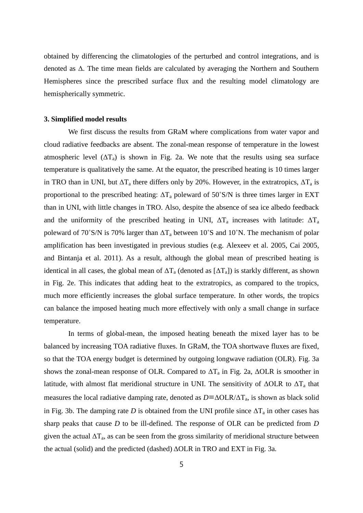obtained by differencing the climatologies of the perturbed and control integrations, and is denoted as Δ. The time mean fields are calculated by averaging the Northern and Southern Hemispheres since the prescribed surface flux and the resulting model climatology are hemispherically symmetric.

# **3. Simplified model results**

We first discuss the results from GRaM where complications from water vapor and cloud radiative feedbacks are absent. The zonal-mean response of temperature in the lowest atmospheric level  $(\Delta T_a)$  is shown in Fig. 2a. We note that the results using sea surface temperature is qualitatively the same. At the equator, the prescribed heating is 10 times larger in TRO than in UNI, but  $\Delta T_a$  there differs only by 20%. However, in the extratropics,  $\Delta T_a$  is proportional to the prescribed heating:  $\Delta T_a$  poleward of 50°S/N is three times larger in EXT than in UNI, with little changes in TRO. Also, despite the absence of sea ice albedo feedback and the uniformity of the prescribed heating in UNI,  $\Delta T_a$  increases with latitude:  $\Delta T_a$ poleward of 70°S/N is 70% larger than  $\Delta T_a$  between 10°S and 10°N. The mechanism of polar amplification has been investigated in previous studies (e.g. Alexeev et al. 2005, Cai 2005, and Bintanja et al. 2011). As a result, although the global mean of prescribed heating is identical in all cases, the global mean of  $\Delta T_a$  (denoted as  $[\Delta T_a]$ ) is starkly different, as shown in Fig. 2e. This indicates that adding heat to the extratropics, as compared to the tropics, much more efficiently increases the global surface temperature. In other words, the tropics can balance the imposed heating much more effectively with only a small change in surface temperature.

In terms of global-mean, the imposed heating beneath the mixed layer has to be balanced by increasing TOA radiative fluxes. In GRaM, the TOA shortwave fluxes are fixed, so that the TOA energy budget is determined by outgoing longwave radiation (OLR). Fig. 3a shows the zonal-mean response of OLR. Compared to  $\Delta T_a$  in Fig. 2a,  $\Delta OLR$  is smoother in latitude, with almost flat meridional structure in UNI. The sensitivity of  $\Delta OLR$  to  $\Delta T_a$  that measures the local radiative damping rate, denoted as  $D \equiv \Delta OLR/\Delta T_a$ , is shown as black solid in Fig. 3b. The damping rate *D* is obtained from the UNI profile since  $\Delta T_a$  in other cases has sharp peaks that cause *D* to be ill-defined. The response of OLR can be predicted from *D* given the actual  $\Delta T_a$ , as can be seen from the gross similarity of meridional structure between the actual (solid) and the predicted (dashed) ΔOLR in TRO and EXT in Fig. 3a.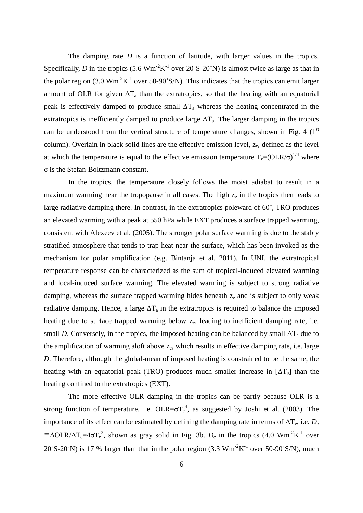The damping rate *D* is a function of latitude, with larger values in the tropics. Specifically, *D* in the tropics  $(5.6 \text{ Wm}^{-2} \text{K}^{-1}$  over  $20^{\circ} \text{S}$ -20°N) is almost twice as large as that in the polar region (3.0  $\text{Wm}^2\text{K}^{-1}$  over 50-90°S/N). This indicates that the tropics can emit larger amount of OLR for given  $\Delta T_a$  than the extratropics, so that the heating with an equatorial peak is effectively damped to produce small  $\Delta T_a$  whereas the heating concentrated in the extratropics is inefficiently damped to produce large  $\Delta T_a$ . The larger damping in the tropics can be understood from the vertical structure of temperature changes, shown in Fig. 4  $(1<sup>st</sup>$ column). Overlain in black solid lines are the effective emission level,  $z_e$ , defined as the level at which the temperature is equal to the effective emission temperature  $T_e=(OLR/\sigma)^{1/4}$  where σ is the Stefan-Boltzmann constant.

In the tropics, the temperature closely follows the moist adiabat to result in a maximum warming near the tropopause in all cases. The high  $z<sub>e</sub>$  in the tropics then leads to large radiative damping there. In contrast, in the extratropics poleward of 60˚, TRO produces an elevated warming with a peak at 550 hPa while EXT produces a surface trapped warming, consistent with Alexeev et al. (2005). The stronger polar surface warming is due to the stably stratified atmosphere that tends to trap heat near the surface, which has been invoked as the mechanism for polar amplification (e.g. Bintanja et al. 2011). In UNI, the extratropical temperature response can be characterized as the sum of tropical-induced elevated warming and local-induced surface warming. The elevated warming is subject to strong radiative damping, whereas the surface trapped warming hides beneath  $z<sub>e</sub>$  and is subject to only weak radiative damping. Hence, a large  $\Delta T_a$  in the extratropics is required to balance the imposed heating due to surface trapped warming below  $z_e$ , leading to inefficient damping rate, i.e. small *D*. Conversely, in the tropics, the imposed heating can be balanced by small  $\Delta T_a$  due to the amplification of warming aloft above  $z<sub>e</sub>$ , which results in effective damping rate, i.e. large *D*. Therefore, although the global-mean of imposed heating is constrained to be the same, the heating with an equatorial peak (TRO) produces much smaller increase in  $[\Delta T_a]$  than the heating confined to the extratropics (EXT).

The more effective OLR damping in the tropics can be partly because OLR is a strong function of temperature, i.e.  $OLR = \sigma T_e^4$ , as suggested by Joshi et al. (2003). The importance of its effect can be estimated by defining the damping rate in terms of  $\Delta T_e$ , i.e.  $D_e$  $\equiv$ ΔOLR/ΔT<sub>e</sub>=4σT<sub>e</sub><sup>3</sup>, shown as gray solid in Fig. 3b.  $D_e$  in the tropics (4.0 Wm<sup>-2</sup>K<sup>-1</sup> over 20°S-20°N) is 17 % larger than that in the polar region  $(3.3 \text{ Wm}^2 \text{K}^1 \text{ over } 50\text{-}90 \text{°S/N})$ , much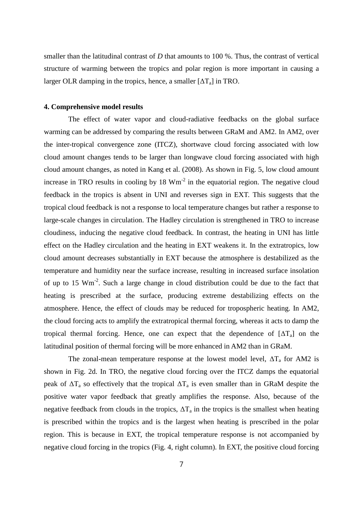smaller than the latitudinal contrast of *D* that amounts to 100 %. Thus, the contrast of vertical structure of warming between the tropics and polar region is more important in causing a larger OLR damping in the tropics, hence, a smaller  $[\Delta T_a]$  in TRO.

# **4. Comprehensive model results**

The effect of water vapor and cloud-radiative feedbacks on the global surface warming can be addressed by comparing the results between GRaM and AM2. In AM2, over the inter-tropical convergence zone (ITCZ), shortwave cloud forcing associated with low cloud amount changes tends to be larger than longwave cloud forcing associated with high cloud amount changes, as noted in Kang et al. (2008). As shown in Fig. 5, low cloud amount increase in TRO results in cooling by  $18 \text{ Wm}^{-2}$  in the equatorial region. The negative cloud feedback in the tropics is absent in UNI and reverses sign in EXT. This suggests that the tropical cloud feedback is not a response to local temperature changes but rather a response to large-scale changes in circulation. The Hadley circulation is strengthened in TRO to increase cloudiness, inducing the negative cloud feedback. In contrast, the heating in UNI has little effect on the Hadley circulation and the heating in EXT weakens it. In the extratropics, low cloud amount decreases substantially in EXT because the atmosphere is destabilized as the temperature and humidity near the surface increase, resulting in increased surface insolation of up to 15  $\text{Wm}^2$ . Such a large change in cloud distribution could be due to the fact that heating is prescribed at the surface, producing extreme destabilizing effects on the atmosphere. Hence, the effect of clouds may be reduced for tropospheric heating. In AM2, the cloud forcing acts to amplify the extratropical thermal forcing, whereas it acts to damp the tropical thermal forcing. Hence, one can expect that the dependence of  $[\Delta T_a]$  on the latitudinal position of thermal forcing will be more enhanced in AM2 than in GRaM.

The zonal-mean temperature response at the lowest model level,  $\Delta T_a$  for AM2 is shown in Fig. 2d. In TRO, the negative cloud forcing over the ITCZ damps the equatorial peak of  $\Delta T_a$  so effectively that the tropical  $\Delta T_a$  is even smaller than in GRaM despite the positive water vapor feedback that greatly amplifies the response. Also, because of the negative feedback from clouds in the tropics,  $\Delta T_a$  in the tropics is the smallest when heating is prescribed within the tropics and is the largest when heating is prescribed in the polar region. This is because in EXT, the tropical temperature response is not accompanied by negative cloud forcing in the tropics (Fig. 4, right column). In EXT, the positive cloud forcing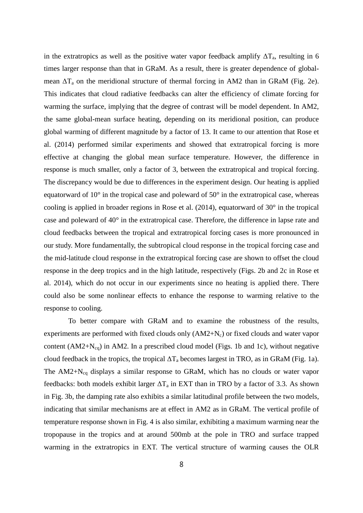in the extratropics as well as the positive water vapor feedback amplify  $\Delta T_a$ , resulting in 6 times larger response than that in GRaM. As a result, there is greater dependence of globalmean  $\Delta T_a$  on the meridional structure of thermal forcing in AM2 than in GRaM (Fig. 2e). This indicates that cloud radiative feedbacks can alter the efficiency of climate forcing for warming the surface, implying that the degree of contrast will be model dependent. In AM2, the same global-mean surface heating, depending on its meridional position, can produce global warming of different magnitude by a factor of 13. It came to our attention that Rose et al. (2014) performed similar experiments and showed that extratropical forcing is more effective at changing the global mean surface temperature. However, the difference in response is much smaller, only a factor of 3, between the extratropical and tropical forcing. The discrepancy would be due to differences in the experiment design. Our heating is applied equatorward of 10° in the tropical case and poleward of 50° in the extratropical case, whereas cooling is applied in broader regions in Rose et al. (2014), equatorward of 30° in the tropical case and poleward of 40° in the extratropical case. Therefore, the difference in lapse rate and cloud feedbacks between the tropical and extratropical forcing cases is more pronounced in our study. More fundamentally, the subtropical cloud response in the tropical forcing case and the mid-latitude cloud response in the extratropical forcing case are shown to offset the cloud response in the deep tropics and in the high latitude, respectively (Figs. 2b and 2c in Rose et al. 2014), which do not occur in our experiments since no heating is applied there. There could also be some nonlinear effects to enhance the response to warming relative to the response to cooling.

To better compare with GRaM and to examine the robustness of the results, experiments are performed with fixed clouds only  $(AM2+N_c)$  or fixed clouds and water vapor content ( $AM2+N_{cq}$ ) in AM2. In a prescribed cloud model (Figs. 1b and 1c), without negative cloud feedback in the tropics, the tropical  $\Delta T_a$  becomes largest in TRO, as in GRaM (Fig. 1a). The  $AM2+N_{ca}$  displays a similar response to GRaM, which has no clouds or water vapor feedbacks: both models exhibit larger  $\Delta T_a$  in EXT than in TRO by a factor of 3.3. As shown in Fig. 3b, the damping rate also exhibits a similar latitudinal profile between the two models, indicating that similar mechanisms are at effect in AM2 as in GRaM. The vertical profile of temperature response shown in Fig. 4 is also similar, exhibiting a maximum warming near the tropopause in the tropics and at around 500mb at the pole in TRO and surface trapped warming in the extratropics in EXT. The vertical structure of warming causes the OLR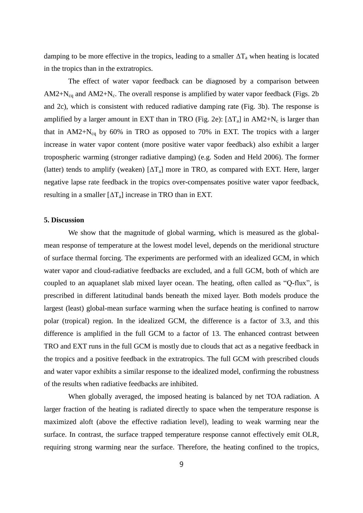damping to be more effective in the tropics, leading to a smaller  $\Delta T_a$  when heating is located in the tropics than in the extratropics.

The effect of water vapor feedback can be diagnosed by a comparison between AM2+ $N_{cq}$  and AM2+ $N_c$ . The overall response is amplified by water vapor feedback (Figs. 2b) and 2c), which is consistent with reduced radiative damping rate (Fig. 3b). The response is amplified by a larger amount in EXT than in TRO (Fig. 2e):  $[\Delta T_a]$  in AM2+N<sub>c</sub> is larger than that in  $AM2+N_{cq}$  by 60% in TRO as opposed to 70% in EXT. The tropics with a larger increase in water vapor content (more positive water vapor feedback) also exhibit a larger tropospheric warming (stronger radiative damping) (e.g. Soden and Held 2006). The former (latter) tends to amplify (weaken)  $[\Delta T_a]$  more in TRO, as compared with EXT. Here, larger negative lapse rate feedback in the tropics over-compensates positive water vapor feedback, resulting in a smaller  $[\Delta T_a]$  increase in TRO than in EXT.

# **5. Discussion**

We show that the magnitude of global warming, which is measured as the globalmean response of temperature at the lowest model level, depends on the meridional structure of surface thermal forcing. The experiments are performed with an idealized GCM, in which water vapor and cloud-radiative feedbacks are excluded, and a full GCM, both of which are coupled to an aquaplanet slab mixed layer ocean. The heating, often called as "Q-flux", is prescribed in different latitudinal bands beneath the mixed layer. Both models produce the largest (least) global-mean surface warming when the surface heating is confined to narrow polar (tropical) region. In the idealized GCM, the difference is a factor of 3.3, and this difference is amplified in the full GCM to a factor of 13. The enhanced contrast between TRO and EXT runs in the full GCM is mostly due to clouds that act as a negative feedback in the tropics and a positive feedback in the extratropics. The full GCM with prescribed clouds and water vapor exhibits a similar response to the idealized model, confirming the robustness of the results when radiative feedbacks are inhibited.

When globally averaged, the imposed heating is balanced by net TOA radiation. A larger fraction of the heating is radiated directly to space when the temperature response is maximized aloft (above the effective radiation level), leading to weak warming near the surface. In contrast, the surface trapped temperature response cannot effectively emit OLR, requiring strong warming near the surface. Therefore, the heating confined to the tropics,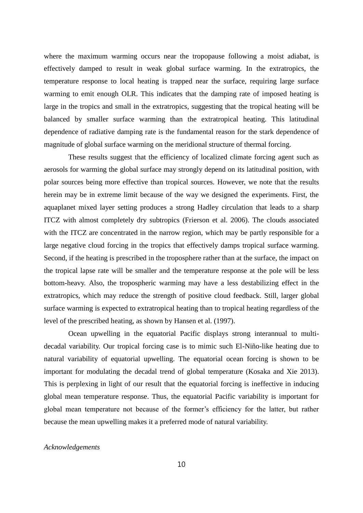where the maximum warming occurs near the tropopause following a moist adiabat, is effectively damped to result in weak global surface warming. In the extratropics, the temperature response to local heating is trapped near the surface, requiring large surface warming to emit enough OLR. This indicates that the damping rate of imposed heating is large in the tropics and small in the extratropics, suggesting that the tropical heating will be balanced by smaller surface warming than the extratropical heating. This latitudinal dependence of radiative damping rate is the fundamental reason for the stark dependence of magnitude of global surface warming on the meridional structure of thermal forcing.

These results suggest that the efficiency of localized climate forcing agent such as aerosols for warming the global surface may strongly depend on its latitudinal position, with polar sources being more effective than tropical sources. However, we note that the results herein may be in extreme limit because of the way we designed the experiments. First, the aquaplanet mixed layer setting produces a strong Hadley circulation that leads to a sharp ITCZ with almost completely dry subtropics (Frierson et al. 2006). The clouds associated with the ITCZ are concentrated in the narrow region, which may be partly responsible for a large negative cloud forcing in the tropics that effectively damps tropical surface warming. Second, if the heating is prescribed in the troposphere rather than at the surface, the impact on the tropical lapse rate will be smaller and the temperature response at the pole will be less bottom-heavy. Also, the tropospheric warming may have a less destabilizing effect in the extratropics, which may reduce the strength of positive cloud feedback. Still, larger global surface warming is expected to extratropical heating than to tropical heating regardless of the level of the prescribed heating, as shown by Hansen et al. (1997).

Ocean upwelling in the equatorial Pacific displays strong interannual to multidecadal variability. Our tropical forcing case is to mimic such El-Niño-like heating due to natural variability of equatorial upwelling. The equatorial ocean forcing is shown to be important for modulating the decadal trend of global temperature (Kosaka and Xie 2013). This is perplexing in light of our result that the equatorial forcing is ineffective in inducing global mean temperature response. Thus, the equatorial Pacific variability is important for global mean temperature not because of the former's efficiency for the latter, but rather because the mean upwelling makes it a preferred mode of natural variability.

## *Acknowledgements*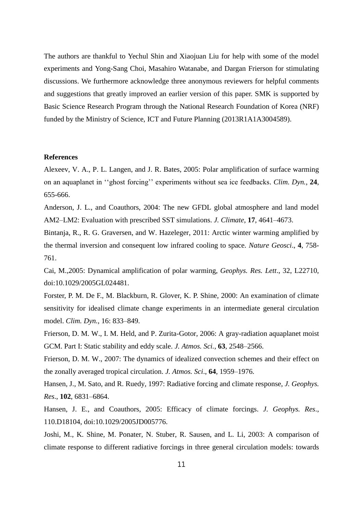The authors are thankful to Yechul Shin and Xiaojuan Liu for help with some of the model experiments and Yong-Sang Choi, Masahiro Watanabe, and Dargan Frierson for stimulating discussions. We furthermore acknowledge three anonymous reviewers for helpful comments and suggestions that greatly improved an earlier version of this paper. SMK is supported by Basic Science Research Program through the National Research Foundation of Korea (NRF) funded by the Ministry of Science, ICT and Future Planning (2013R1A1A3004589).

## **References**

Alexeev, V. A., P. L. Langen, and J. R. Bates, 2005: Polar amplification of surface warming on an aquaplanet in ''ghost forcing'' experiments without sea ice feedbacks. *Clim. Dyn.*, **24**, 655-666.

Anderson, J. L., and Coauthors, 2004: The new GFDL global atmosphere and land model AM2–LM2: Evaluation with prescribed SST simulations. *J. Climate*, **17**, 4641–4673.

Bintanja, R., R. G. Graversen, and W. Hazeleger, 2011: Arctic winter warming amplified by the thermal inversion and consequent low infrared cooling to space. *Nature Geosci*., **4**, 758- 761.

Cai, M.,2005: Dynamical amplification of polar warming, *Geophys. Res. Lett*., 32, L22710, doi:10.1029/2005GL024481.

Forster, P. M. De F., M. Blackburn, R. Glover, K. P. Shine, 2000: An examination of climate sensitivity for idealised climate change experiments in an intermediate general circulation model. *Clim. Dyn.*, 16: 833–849.

Frierson, D. M. W., I. M. Held, and P. Zurita-Gotor, 2006: A gray-radiation aquaplanet moist GCM. Part I: Static stability and eddy scale. *J. Atmos. Sci.*, **63**, 2548–2566.

Frierson, D. M. W., 2007: The dynamics of idealized convection schemes and their effect on the zonally averaged tropical circulation. *J. Atmos. Sci*., **64**, 1959–1976.

Hansen, J., M. Sato, and R. Ruedy, 1997: Radiative forcing and climate response, *J. Geophys. Res*., **102**, 6831–6864.

Hansen, J. E., and Coauthors, 2005: Efficacy of climate forcings. *J. Geophys. Res*., 110.D18104, doi:10.1029/2005JD005776.

Joshi, M., K. Shine, M. Ponater, N. Stuber, R. Sausen, and L. Li, 2003: A comparison of climate response to different radiative forcings in three general circulation models: towards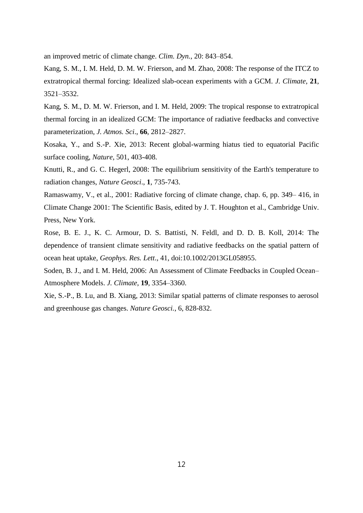an improved metric of climate change. *Clim. Dyn.*, 20: 843–854.

Kang, S. M., I. M. Held, D. M. W. Frierson, and M. Zhao, 2008: The response of the ITCZ to extratropical thermal forcing: Idealized slab-ocean experiments with a GCM. *J. Climate*, **21**, 3521–3532.

Kang, S. M., D. M. W. Frierson, and I. M. Held, 2009: The tropical response to extratropical thermal forcing in an idealized GCM: The importance of radiative feedbacks and convective parameterization, *J. Atmos. Sci*., **66**, 2812–2827.

Kosaka, Y., and S.-P. Xie, 2013: Recent global-warming hiatus tied to equatorial Pacific surface cooling, *Nature*, 501, 403-408.

Knutti, R., and G. C. Hegerl, 2008: The equilibrium sensitivity of the Earth's temperature to radiation changes, *Nature Geosci*., **1**, 735-743.

Ramaswamy, V., et al., 2001: Radiative forcing of climate change, chap. 6, pp. 349– 416, in Climate Change 2001: The Scientific Basis, edited by J. T. Houghton et al., Cambridge Univ. Press, New York.

Rose, B. E. J., K. C. Armour, D. S. Battisti, N. Feldl, and D. D. B. Koll, 2014: The dependence of transient climate sensitivity and radiative feedbacks on the spatial pattern of ocean heat uptake, *Geophys. Res. Lett*., 41, doi:10.1002/2013GL058955.

Soden, B. J., and I. M. Held, 2006: An Assessment of Climate Feedbacks in Coupled Ocean– Atmosphere Models. *J. Climate*, **19**, 3354–3360.

Xie, S.-P., B. Lu, and B. Xiang, 2013: Similar spatial patterns of climate responses to aerosol and greenhouse gas changes. *Nature Geosci.*, 6, 828-832.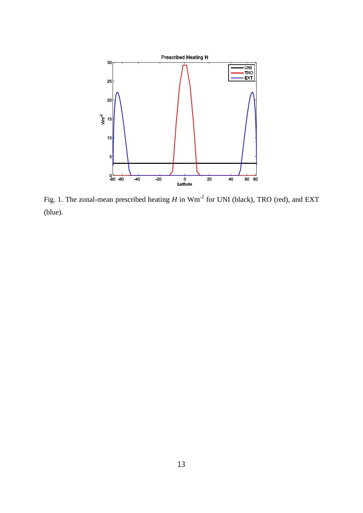

Fig. 1. The zonal-mean prescribed heating  $H$  in  $Wm^{-2}$  for UNI (black), TRO (red), and EXT (blue).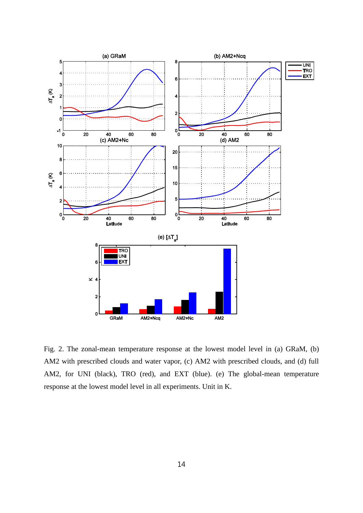

Fig. 2. The zonal-mean temperature response at the lowest model level in (a) GRaM, (b) AM2 with prescribed clouds and water vapor, (c) AM2 with prescribed clouds, and (d) full AM2, for UNI (black), TRO (red), and EXT (blue). (e) The global-mean temperature response at the lowest model level in all experiments. Unit in K.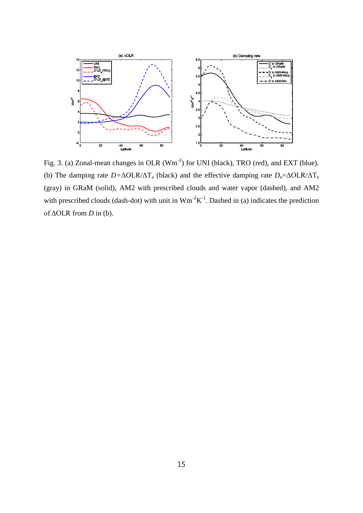

Fig. 3. (a) Zonal-mean changes in OLR  $(Wm^{-2})$  for UNI (black), TRO (red), and EXT (blue). (b) The damping rate  $D = \Delta OLR/\Delta T_a$  (black) and the effective damping rate  $D_e = \Delta OLR/\Delta T_e$ (gray) in GRaM (solid), AM2 with prescribed clouds and water vapor (dashed), and AM2 with prescribed clouds (dash-dot) with unit in  $Wm<sup>-2</sup>K<sup>-1</sup>$ . Dashed in (a) indicates the prediction of ΔOLR from *D* in (b).